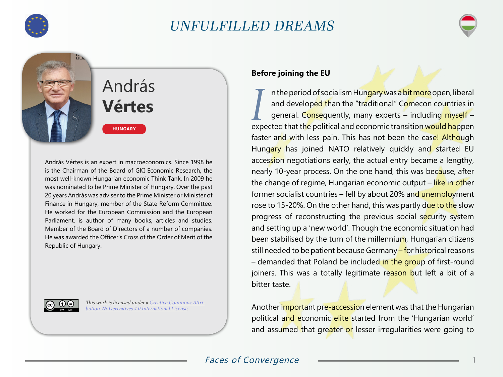

öò.

## UNFULFILLED DREAMS



# András **Vértes**

**HUNGARY**

András Vértes is an expert in macroeconomics. Since 1998 he is the Chairman of the Board of GKI Economic Research, the most well-known Hungarian economic Think Tank. In 2009 he was nominated to be Prime Minister of Hungary. Over the past 20 years András was adviser to the Prime Minister or Minister of Finance in Hungary, member of the State Reform Committee. He worked for the European Commission and the European Parliament, is author of many books, articles and studies. Member of the Board of Directors of a number of companies. He was awarded the Officer's Cross of the Order of Merit of the Republic of Hungary.



This work is licensed under a [Creative Commons Attri](https://creativecommons.org/licenses/by-nd/4.0/)[bution-NoDerivatives 4.0 International License](https://creativecommons.org/licenses/by-nd/4.0/).

### **Before joining the EU**

*I* n the period of socialism Hungary was a bit more open, liberal and developed than the "traditional" Comecon countries in general. Consequently, many experts - including myself expected that the political and economic transition would happen faster and with less pain. This has not been the case! Although Hungary has joined NATO relatively quickly and started EU accession negotiations early, the actual entry became a lengthy, nearly 10-year process. On the one hand, this was because, after the change of regime, Hungarian economic output – like in other former socialist countries – fell by about 20% and unemployment rose to 15-20%. On the other hand, this was partly due to the slow progress of reconstructing the previous social security system and setting up a 'new world'. Though the economic situation had been stabilised by the turn of the millennium, Hungarian citizens still needed to be patient because Germany - for historical reasons – demanded that Poland be included in the group of first-round joiners. This was a totally legitimate reason but left a bit of a bitter taste.

Another important pre-accession element was that the Hungarian political and economic elite started from the 'Hungarian world' and assumed that greater or lesser irregularities were going to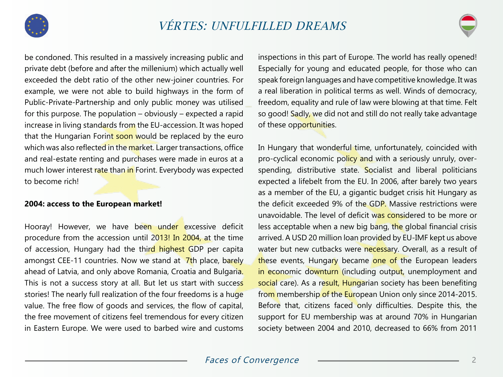



be condoned. This resulted in a massively increasing public and private debt (before and after the millenium) which actually well exceeded the debt ratio of the other new-joiner countries. For example, we were not able to build highways in the form of Public-Private-Partnership and only public money was utilised for this purpose. The population  $-$  obviously  $-$  expected a rapid increase in living standards from the EU-accession. It was hoped that the Hungarian Forint soon would be replaced by the euro which was also reflected in the market. Larger transactions, office and real-estate renting and purchases were made in euros at a much lower interest rate than in Forint. Everybody was expected to become rich!

#### **2004: access to the European market!**

Hooray! However, we have been under excessive deficit procedure from the accession until 2013! In 2004, at the time of accession, Hungary had the third highest GDP per capita amongst CEE-11 countries. Now we stand at  $\frac{7}{t}$ h place, barely ahead of Latvia, and only above Romania, Croatia and Bulgaria. This is not a success story at all. But let us start with success stories! The nearly full realization of the four freedoms is a huge value. The free flow of goods and services, the flow of capital, the free movement of citizens feel tremendous for every citizen in Eastern Europe. We were used to barbed wire and customs

inspections in this part of Europe. The world has really opened! Especially for young and educated people, for those who can speak foreign languages and have competitive knowledge. It was a real liberation in political terms as well. Winds of democracy, freedom, equality and rule of law were blowing at that time. Felt so good! Sadly, we did not and still do not really take advantage of these opportunities.

In Hungary that wonderful time, unfortunately, coincided with pro-cyclical economic policy and with a seriously unruly, overspending, distributive state. Socialist and liberal politicians expected a lifebelt from the EU. In 2006, after barely two years as a member of the EU, a gigantic budget crisis hit Hungary as the deficit exceeded 9% of the GDP. Massive restrictions were unavoidable. The level of deficit was considered to be more or less acceptable when a new big bang, the global financial crisis arrived. A USD 20 million loan provided by EU-IMF kept us above water but new cutbacks were necessary. Overall, as a result of these events, Hungary became one of the European leaders in economic downturn (including output, unemployment and social care). As a result, Hungarian society has been benefiting from membership of the European Union only since 2014-2015. Before that, citizens faced only difficulties. Despite this, the support for EU membership was at around 70% in Hungarian society between 2004 and 2010, decreased to 66% from 2011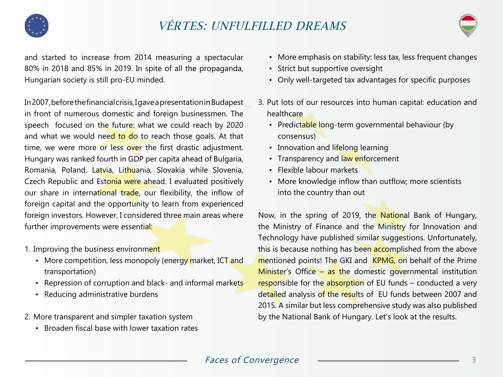

# VÉRTES: UNFULFILLED DREAMS



and started to increase from 2014 measuring a spectacular 80% in 2018 and 85% in 2019. In spite of all the propaganda, Hungarian society is still pro-EU minded.

In 2007, before the financial crisis, I gave a presentation in Budapest in front of numerous domestic and foreign businessmen. The speech focused on the future: what we could reach by 2020 and what we would need to do to reach those goals. At that time, we were more or less over the first drastic adjustment. Hungary was ranked fourth in GDP per capita ahead of Bulgaria, Romania, Poland, Latvia, Lithuania, Slovakia while Slovenia, Czech Republic and Estonia were ahead. I evaluated positively our share in international trade, our flexibility, the inflow of foreign capital and the opportunity to learn from experienced foreign investors. However, I considered three main areas where further improvements were essential:

- 1. Improving the business environment
	- More competition, less monopoly (energy market, ICT and transportation)
	- Repression of corruption and black- and informal markets
	- Reducing administrative burdens
- 2. More transparent and simpler taxation system
	- Broaden fiscal base with lower taxation rates
- More emphasis on stability: less tax, less frequent changes
- Strict but supportive oversight
- Only well-targeted tax advantages for specific purposes
- 3. Put lots of our resources into human capital: education and healthcare
	- Predictable long-term governmental behaviour (by consensus)
	- Innovation and lifelong learning
	- Transparency and law enforcement
	- Flexible labour markets
	- More knowledge inflow than outflow; more scientists into the country than out

Now, in the spring of 2019, the National Bank of Hungary, the Ministry of Finance and the Ministry for Innovation and Technology have published similar suggestions. Unfortunately, this is because nothing has been accomplished from the above mentioned points! The GKI and KPMG, on behalf of the Prime Minister's Office – as the domestic governmental institution responsible for the absorption of EU funds – conducted a very detailed analysis of the results of EU funds between 2007 and 2015. A similar but less comprehensive study was also published by the National Bank of Hungary. Let's look at the results.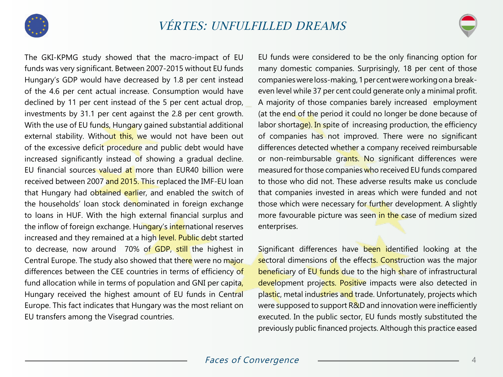



The GKI-KPMG study showed that the macro-impact of EU funds was very significant. Between 2007-2015 without EU funds Hungary's GDP would have decreased by 1.8 per cent instead of the 4.6 per cent actual increase. Consumption would have declined by 11 per cent instead of the 5 per cent actual drop, investments by 31.1 per cent against the 2.8 per cent growth. With the use of EU funds, Hungary gained substantial additional external stability. Without this, we would not have been out of the excessive deficit procedure and public debt would have increased significantly instead of showing a gradual decline. EU financial sources valued at more than EUR40 billion were received between 2007 and 2015. This replaced the IMF-EU loan that Hungary had obtained earlier, and enabled the switch of the households' loan stock denominated in foreign exchange to loans in HUF. With the high external financial surplus and the inflow of foreign exchange. Hungary's international reserves increased and they remained at a high level. Public debt started to decrease, now around 70% of GDP, still the highest in Central Europe. The study also showed that there were no major differences between the CEE countries in terms of efficiency of fund allocation while in terms of population and GNI per capita, Hungary received the highest amount of EU funds in Central Europe. This fact indicates that Hungary was the most reliant on EU transfers among the Visegrad countries.

EU funds were considered to be the only financing option for many domestic companies. Surprisingly, 18 per cent of those companies were loss-making, 1 per cent were working on a breakeven level while 37 per cent could generate only a minimal profit. A majority of those companies barely increased employment (at the end of the period it could no longer be done because of labor shortage). In spite of increasing production, the efficiency of companies has not improved. There were no significant differences detected whether a company received reimbursable or non-reimbursable grants. No significant differences were measured for those companies who received EU funds compared to those who did not. These adverse results make us conclude that companies invested in areas which were funded and not those which were necessary for further development. A slightly more favourable picture was seen in the case of medium sized enterprises.

Significant differences have been identified looking at the sectoral dimensions of the effects. Construction was the major beneficiary of EU funds due to the high share of infrastructural development projects. Positive impacts were also detected in plastic, metal industries and trade. Unfortunately, projects which were supposed to support R&D and innovation were inefficiently executed. In the public sector, EU funds mostly substituted the previously public financed projects. Although this practice eased